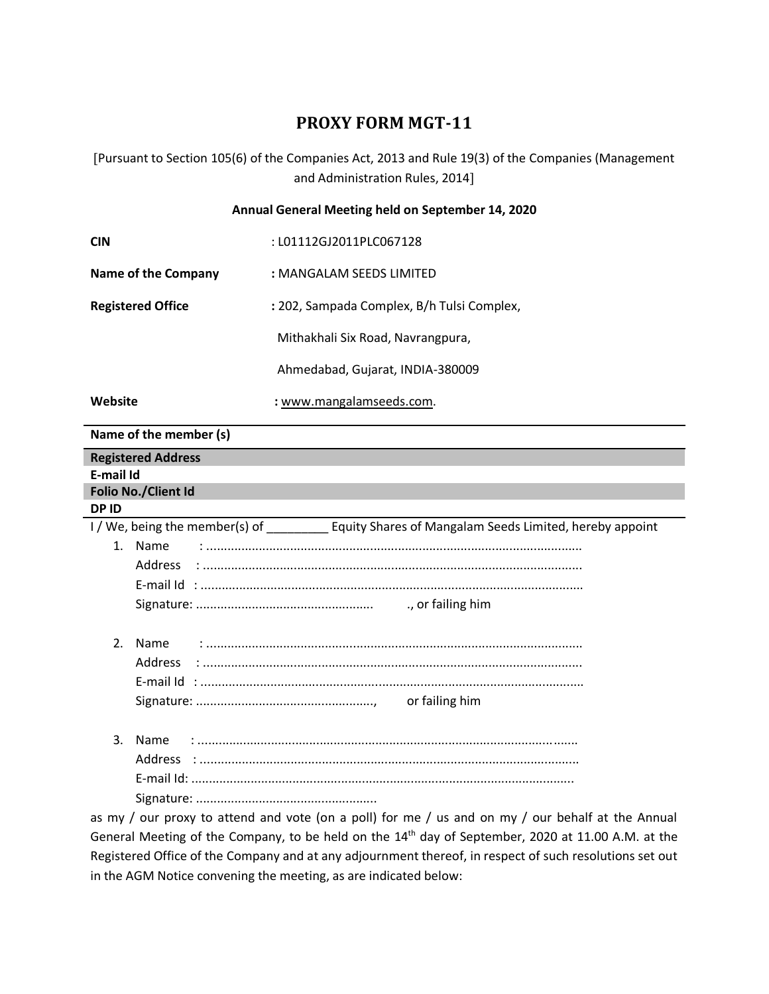# **PROXY FORM MGT-11**

Pursuant to Section 105(6) of the Companies Act, 2013 and Rule 19(3) of the Companies (Management and Administration Rules, 2014

#### **Annual General Meeting held on September 14, 2020**

| <b>CIN</b>               | : L01112GJ2011PLC067128                    |
|--------------------------|--------------------------------------------|
| Name of the Company      | : MANGALAM SEEDS LIMITED                   |
| <b>Registered Office</b> | : 202, Sampada Complex, B/h Tulsi Complex, |
|                          | Mithakhali Six Road, Navrangpura,          |
|                          | Ahmedabad, Gujarat, INDIA-380009           |
| Website                  | : www.mangalamseeds.com.                   |

### **Name of the member (s)**

| <b>Registered Address</b>                                                                         |
|---------------------------------------------------------------------------------------------------|
| E-mail Id                                                                                         |
| Folio No./Client Id                                                                               |
| <b>DPID</b>                                                                                       |
| I / We, being the member(s) of __________ Equity Shares of Mangalam Seeds Limited, hereby appoint |
| 1. Name                                                                                           |
|                                                                                                   |
|                                                                                                   |
|                                                                                                   |
|                                                                                                   |
| 2.<br>Name                                                                                        |
|                                                                                                   |
|                                                                                                   |
|                                                                                                   |
|                                                                                                   |
|                                                                                                   |
| 3.<br>Name                                                                                        |
|                                                                                                   |
|                                                                                                   |
|                                                                                                   |
| as my / our proxy to attend and vote (on a poll) for me / us and on my / our behalf at the Annual |

General Meeting of the Company, to be held on the 14<sup>th</sup> day of September, 2020 at 11.00 A.M. at the Registered Office of the Company and at any adjournment thereof, in respect of such resolutions set out in the AGM Notice convening the meeting, as are indicated below: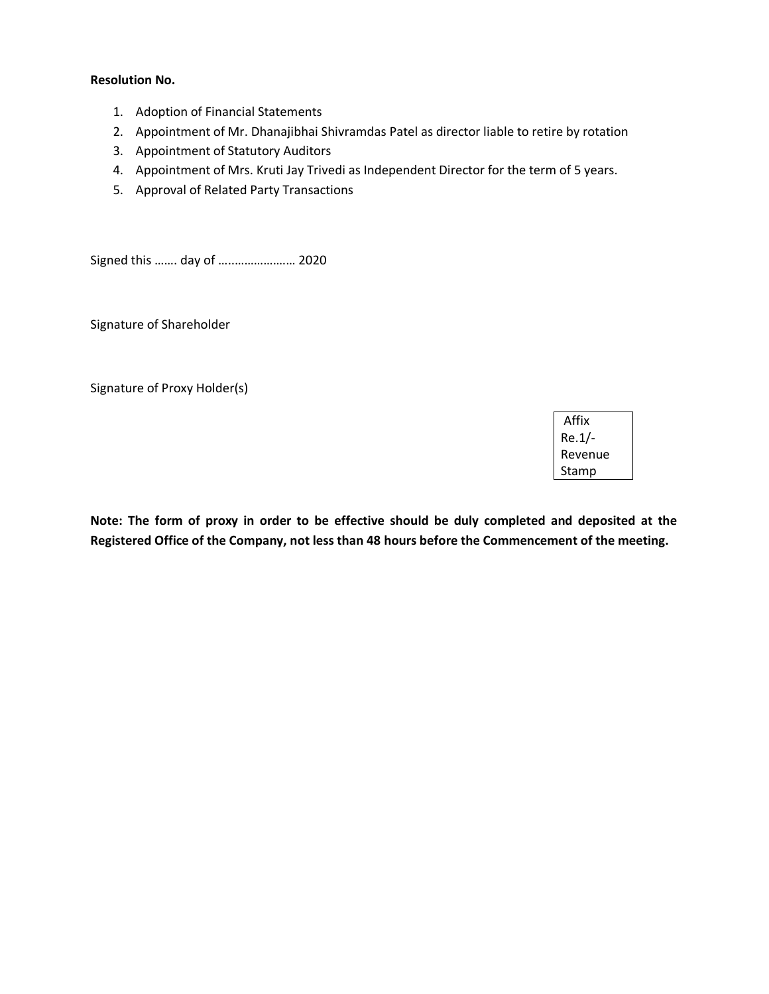#### **Resolution No.**

- 1. Adoption of Financial Statements
- 2. Appointment of Mr. Dhanajibhai Shivramdas Patel as director liable to retire by rotation
- 3. Appointment of Statutory Auditors
- 4. Appointment of Mrs. Kruti Jay Trivedi as Independent Director for the term of 5 years.
- 5. Approval of Related Party Transactions

Signed this ……. day of …..…………….… 2020

Signature of Shareholder

Signature of Proxy Holder(s)

Affix Re.1/- Revenue Stamp

**Note: The form of proxy in order to be effective should be duly completed and deposited at the Registered Office of the Company, not less than 48 hours before the Commencement of the meeting.**